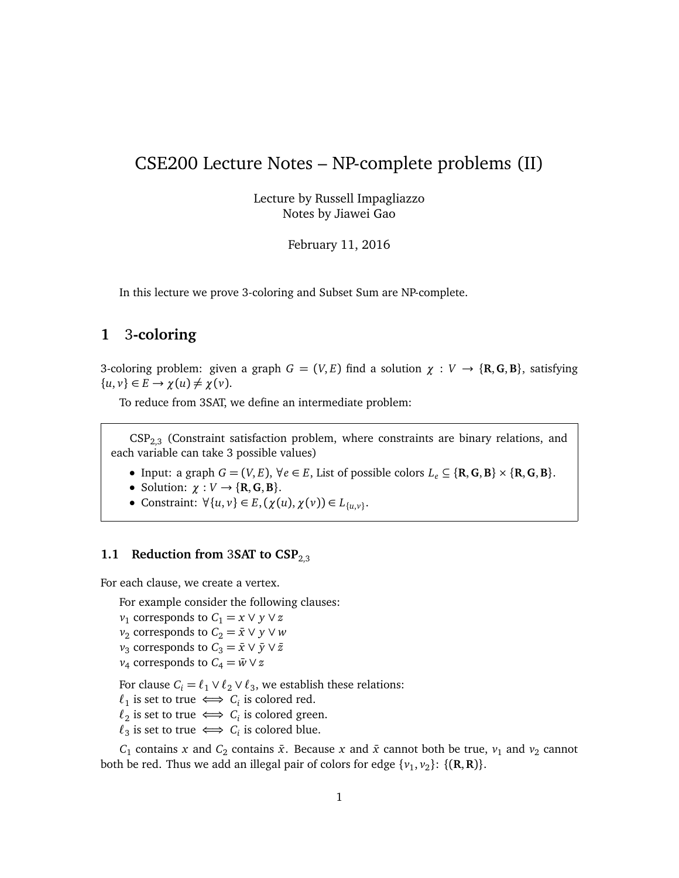# CSE200 Lecture Notes – NP-complete problems (II)

Lecture by Russell Impagliazzo Notes by Jiawei Gao

February 11, 2016

In this lecture we prove 3-coloring and Subset Sum are NP-complete.

## **1** 3**-coloring**

3-coloring problem: given a graph  $G = (V, E)$  find a solution  $\chi : V \to \{R, G, B\}$ , satisfying  $\{u, v\} \in E \rightarrow \chi(u) \neq \chi(v).$ 

To reduce from 3SAT, we define an intermediate problem:

 $CSP<sub>2.3</sub>$  (Constraint satisfaction problem, where constraints are binary relations, and each variable can take 3 possible values)

- Input: a graph *G* = (*V*, *E*), ∀*e* ∈ *E*, List of possible colors *L<sup>e</sup>* ⊆ {**R**,**G**,**B**} × {**R**,**G**,**B**}.
- Solution:  $\chi : V \to \{R, G, B\}.$
- Constraint:  $∀{u, v} ∈ E, (χ(u), χ(v)) ∈ L_{{u,v}}.$

## **1.1 Reduction from 3SAT to CSP<sub>2.3</sub>**

For each clause, we create a vertex.

For example consider the following clauses:

 $v_1$  corresponds to  $C_1 = x \vee y \vee z$ 

- $v_2$  corresponds to  $C_2 = \bar{x} \vee y \vee w$
- $v_3$  corresponds to  $C_3 = \bar{x} \vee \bar{y} \vee \bar{z}$
- $v_4$  corresponds to  $C_4 = \bar{w} \vee z$

For clause  $C_i = \ell_1 \vee \ell_2 \vee \ell_3$ , we establish these relations:

- $\ell_1$  is set to true  $\iff C_i$  is colored red.
- $\ell_2$  is set to true  $\iff C_i$  is colored green.
- $\ell_3$  is set to true  $\iff C_i$  is colored blue.

 $C_1$  contains *x* and  $C_2$  contains  $\bar{x}$ . Because *x* and  $\bar{x}$  cannot both be true,  $v_1$  and  $v_2$  cannot both be red. Thus we add an illegal pair of colors for edge  $\{v_1, v_2\}$ :  $\{(\mathbf{R}, \mathbf{R})\}$ .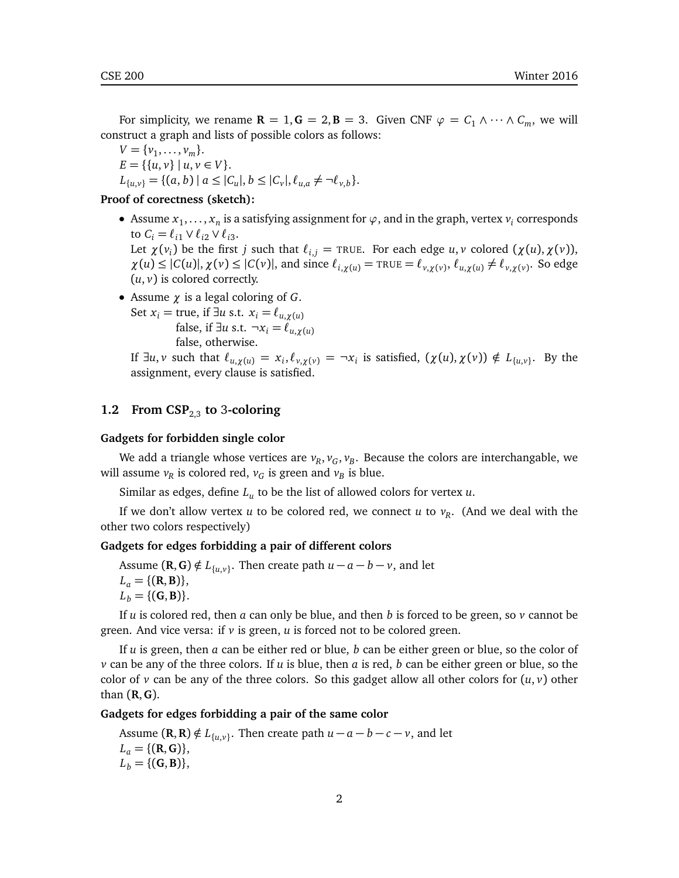For simplicity, we rename  $\mathbf{R} = 1, \mathbf{G} = 2, \mathbf{B} = 3$ . Given CNF  $\varphi = C_1 \wedge \cdots \wedge C_m$ , we will construct a graph and lists of possible colors as follows:

 $V = \{v_1, \ldots, v_m\}.$  $E = \{ \{u, v\} \mid u, v \in V \}.$  $L_{\{u,v\}} = \{(a, b) | a \leq |C_u|, b \leq |C_v|, \ell_{u,a} \neq \neg \ell_{v,b}\}.$ 

#### **Proof of corectness (sketch):**

- Assume  $x_1, \ldots, x_n$  is a satisfying assignment for  $\varphi$ , and in the graph, vertex  $v_i$  corresponds to  $C_i = \ell_{i1} \vee \ell_{i2} \vee \ell_{i3}$ . Let  $\chi(\nu_i)$  be the first  $j$  such that  $\ell_{i,j} = \textsc{true}.$  For each edge  $u, v$  colored  $(\chi(u), \chi(v)),$  $\chi(u) \leq |C(u)|$ ,  $\chi(v) \leq |C(v)|$ , and since  $\ell_{i,\chi(u)} = \text{TRUE} = \ell_{v,\chi(v)}, \ell_{u,\chi(u)} \neq \ell_{v,\chi(v)}$ . So edge  $(u, v)$  is colored correctly.
- Assume *χ* is a legal coloring of *G*.

Set  $x_i$  = true, if  $\exists u$  s.t.  $x_i = \ell_{u, \gamma(u)}$ false, if  $\exists u$  s.t.  $\neg x_i = \ell_{u, \chi(u)}$ false, otherwise.

If  $\exists u, v$  such that  $\ell_{u,\chi(u)} = x_i, \ell_{v,\chi(v)} = \neg x_i$  is satisfied,  $(\chi(u), \chi(v)) \notin L_{\{u,v\}}$ . By the assignment, every clause is satisfied.

#### **1.2 From CSP**2,3 **to** 3**-coloring**

#### **Gadgets for forbidden single color**

We add a triangle whose vertices are  $v_R$ ,  $v_G$ ,  $v_B$ . Because the colors are interchangable, we will assume  $v_R$  is colored red,  $v_G$  is green and  $v_B$  is blue.

Similar as edges, define *L<sup>u</sup>* to be the list of allowed colors for vertex *u*.

If we don't allow vertex *u* to be colored red, we connect *u* to *v<sup>R</sup>* . (And we deal with the other two colors respectively)

#### **Gadgets for edges forbidding a pair of different colors**

Assume  $(\mathbf{R}, \mathbf{G}) \notin L_{\{u,v\}}$ . Then create path  $u - a - b - v$ , and let  $L_a = \{ (R, B) \},\$  $L_b = \{({\bf G},{\bf B})\}.$ 

If *u* is colored red, then *a* can only be blue, and then *b* is forced to be green, so *v* cannot be green. And vice versa: if *v* is green, *u* is forced not to be colored green.

If *u* is green, then *a* can be either red or blue, *b* can be either green or blue, so the color of *v* can be any of the three colors. If *u* is blue, then *a* is red, *b* can be either green or blue, so the color of  $\nu$  can be any of the three colors. So this gadget allow all other colors for  $(u, v)$  other than (**R**,**G**).

**Gadgets for edges forbidding a pair of the same color**

Assume  $(\mathbf{R}, \mathbf{R}) \notin L_{\{u, v\}}$ . Then create path  $u - a - b - c - v$ , and let  $L_a = \{ (R, G) \},\$  $L_b = \{({\bf G},{\bf B})\},\$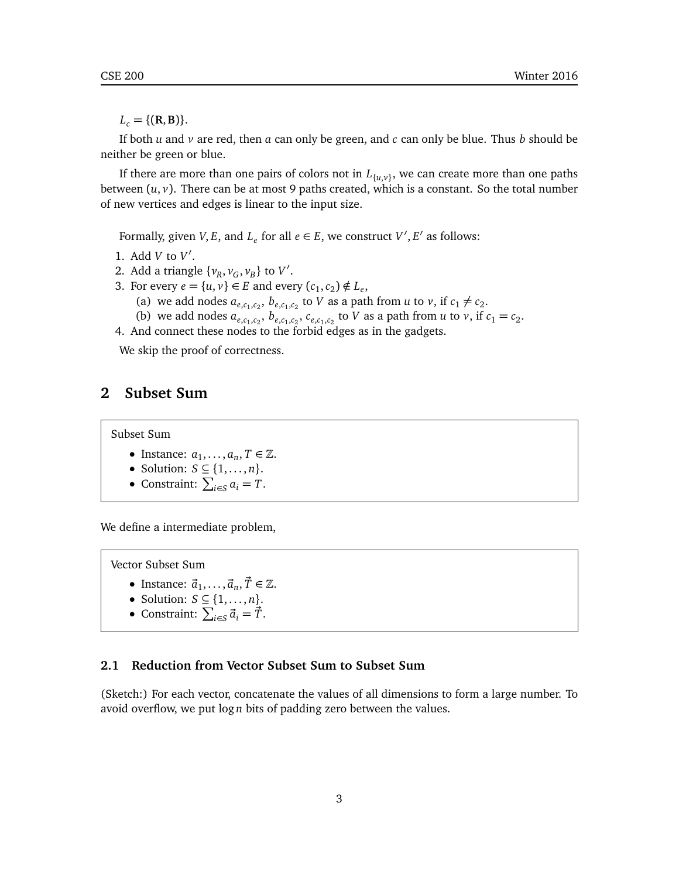$L_c = \{({\bf R},{\bf B})\}.$ 

If both  $u$  and  $v$  are red, then  $a$  can only be green, and  $c$  can only be blue. Thus  $b$  should be neither be green or blue.

If there are more than one pairs of colors not in *L*{*u*,*v*} , we can create more than one paths between  $(u, v)$ . There can be at most 9 paths created, which is a constant. So the total number of new vertices and edges is linear to the input size.

Formally, given *V*, *E*, and  $L_e$  for all  $e \in E$ , we construct *V'*, *E'* as follows:

- 1. Add  $V$  to  $V'$ .
- 2. Add a triangle  $\{v_R, v_G, v_B\}$  to  $V'$ .
- 3. For every  $e = \{u, v\} \in E$  and every  $(c_1, c_2) \notin L_e$ ,
	- (a) we add nodes  $a_{e,c_1,c_2}$ ,  $b_{e,c_1,c_2}$  to *V* as a path from *u* to *v*, if  $c_1 \neq c_2$ .
	- (b) we add nodes  $a_{e,c_1,c_2}, b_{e,c_1,c_2}, c_{e,c_1,c_2}$  to *V* as a path from *u* to *v*, if  $c_1 = c_2$ .
- 4. And connect these nodes to the forbid edges as in the gadgets.

We skip the proof of correctness.

## **2 Subset Sum**

Subset Sum

- Instance:  $a_1, \ldots, a_n, T \in \mathbb{Z}$ .
- Solution:  $S \subseteq \{1, \ldots, n\}.$
- Constraint:  $\sum_{i \in S} a_i = T$ .

We define a intermediate problem,

Vector Subset Sum

- Instance:  $\vec{a}_1, \ldots, \vec{a}_n, \vec{T} \in \mathbb{Z}$ .
- Solution:  $S \subseteq \{1, \ldots, n\}.$
- Constraint:  $\sum_{i \in S} \vec{a}_i = \vec{T}$ .

#### **2.1 Reduction from Vector Subset Sum to Subset Sum**

(Sketch:) For each vector, concatenate the values of all dimensions to form a large number. To avoid overflow, we put log *n* bits of padding zero between the values.